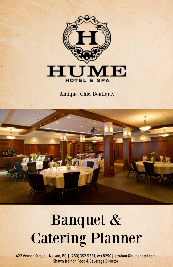

Antique. Chic. Boutique.



# Banquet & Catering Planner

422 Vernon Street | Nelson, BC | (250) 352-5331, ext 8290 | strainor@humehotel.com Shawn Trainor, Food & Beverage Director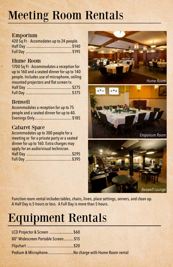# Meeting Room Rentals

# Emporium

| 420 Sq Ft - Accomodates up to 24 people. |  |
|------------------------------------------|--|
|                                          |  |
|                                          |  |

# Hume Room

1700 Sq Ft - Accommodates a reception for up to 160 and a seated dinner for up to 140 people. Includes use of microphone, ceiling mounted projectors and flat screen tv. Half Day ............................................. \$275 Full Day .............................................. \$375

# Benwell

| Accommodates a reception for up to 75    |
|------------------------------------------|
| people and a seated dinner for up to 40. |
|                                          |

# Cabaret Space

Accommodates up to 300 people for a meeting or for a private party or a seated dinner for up to 160. Extra charges may apply for an audio/visual technician. Half Day .............................................\$295 Full Day ..............................................\$395







Function room rental includes tables, chairs, linen, place settings, servers, and clean up. A Half Day is 5 hours or less. A Full Day is more than 5 hours.

# Equipment Rentals

| LCD Projector & Screen  \$60                       |  |
|----------------------------------------------------|--|
| 80" Widescreen Portable Screen \$15                |  |
|                                                    |  |
| Podium & MicrophoneNo charge with Hume Room rental |  |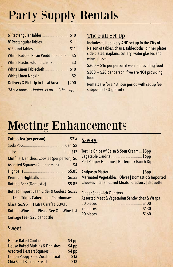# Party Supply Rentals

| 6' Rectangular Tables\$10                    |  |
|----------------------------------------------|--|
| 8' Rectangular Tables  \$11                  |  |
|                                              |  |
| <b>White Padded Resin Wedding Chairs \$5</b> |  |
| White Plastic Folding Chairs \$3             |  |
| White Linen Tablecloth \$10                  |  |
|                                              |  |
| Delivery & Pick Up in Local Area  \$200      |  |
| (Max 8 hours including set up and clean up)  |  |

# The Full Set Up

Includes full delivery AND set up in the City of Nelson of tables, chairs, tablecloths, dinner plates, side plates, napkins, cutlery, water glasses and wine glasses

\$300 + \$16 per person if we are providing food

\$300 + \$20 per person if we are NOT providing food

Rentals are for a 48 hour period with set up fee subject to 18% gratuity

# Meeting Enhancements

| Coffee/Tea (per person)  \$31/2               |
|-----------------------------------------------|
|                                               |
|                                               |
| Muffins, Danishes, Cookies (per person). \$6  |
| Assorted Squares (2 per person)  \$4          |
|                                               |
| Premium Highballs  \$6.55                     |
| Bottled Beer (Domestic)  \$5.85               |
| Bottled Import Beer, Cider & Coolers. \$6.55  |
| <b>Jackson Triggs Cabernet or Chardonnay:</b> |
| Glass \$6.95   1 Litre Carafes \$39.15        |
| <b>Bottled Wine  Please See Our Wine List</b> |
| Corkage Fee - \$25 per bottle                 |

# Sweet

| House Baked Cookies \$4 pp            |  |
|---------------------------------------|--|
| House Baked Muffins & Danishes \$4 pp |  |
| Assorted Dessert Squares\$4 pp        |  |
| Lemon Poppy Seed Zucchini Loaf  \$13  |  |
| Chia Seed Banana Bread  \$13          |  |

# **Savory**

Tortilla Chips w/ Salsa & Sour Cream ...\$5pp Vegetable Crudité................................\$6pp Red Pepper Hummus | Buttermilk Ranch Dip

Antipasto Platter..................................\$8pp Marinated Vegetables | Olives | Domestic & Imported Cheeses | Italian Cured Meats | Crackers | Baguette

| <b>Finger Sandwich Quarters</b>                              |  |
|--------------------------------------------------------------|--|
| <b>Assorted Meat &amp; Vegetarian Sandwiches &amp; Wraps</b> |  |
|                                                              |  |
|                                                              |  |
|                                                              |  |
|                                                              |  |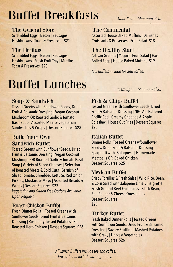# Buffet Breakfasts

 *Until 11am Minimum of 15* 

The General Store

Scrambled Eggs | Bacon | Sausages Hashbrowns | Toast & Preserves \$21

# The Heritage

Scrambled Eggs | Bacon | Sausages Hashbrowns | Fresh Fruit Tray | Muffins Toast & Preserves \$23

# Buffet Lunches

 *11am-3pm Minimum of 25* 

# Soup & Sandwich

Tossed Greens with Sunflower Seeds, Dried Fruit & Balsamic Dressing | Vegan Coconut Mushroom OR Roasted Garlic & Tomato Basil Soup | Assorted Meat & Vegetarian Sandwiches & Wraps | Dessert Squares \$23

# Build-Your-Own Sandwich Buffet

Tossed Greens with Sunflower Seeds, Dried Fruit & Balsamic Dressing | Vegan Coconut Mushroom OR Roasted Garlic & Tomato Basil Soup | Variety of Sliced Cheeses | Selection of Roasted Meats & Cold Cuts | Garnish of Sliced Tomato, Shredded Lettuce, Red Onion, Pickles, Mustard & Mayo | Assorted Breads & Wraps | Dessert Squares \$23 *Vegetarian and Gluten Free Options Available Upon Request*

## Roast Chicken Buffet

Fresh Dinner Rolls | | Tossed Greens with Sunflower Seeds, Dried Fruit & Balsamic Dressing | Rosemary Tossed Potatoes | Pan Roasted Herb Chicken | Dessert Squares \$26

# Fish & Chips Buffet

*\*All Buffets include tea and coffee.*

The Continental

The Healthy Start

Assorted House Baked Muffins | Danishes Croissants & Preserves | Fruit Salad \$18

Artisan Granola | Yogurt | Fruit Salad | Hard Boiled Eggs | House Baked Muffins \$19

Tossed Greens with Sunflower Seeds, Dried Fruit & Balsamic Dressing | NBC Ale Battered Pacific Cod | Creamy Cabbage & Apple Coleslaw | House Cut Fries | Dessert Squares \$25

## Italian Buffet

Dinner Rolls | Tossed Greens w/Sunflower Seeds, Dried Fruit & Balsamic Dressing Spaghetti with Bolognese | Homemade Meatballs OR Baked Chicken Dessert Squares \$25

## Mexican Buffet

Crispy Tortillas & Fresh Salsa | Wild Rice, Bean, & Corn Salad with Jalapeno Lime Vinaigrette Fresh Ground Beef Enchiladas | Black Bean, Bell Pepper & Cheese Quesadillas Dessert Squares \$23

## Turkey Buffet

Fresh Baked Dinner Rolls | Tossed Greens with Sunflower Seeds, Dried Fruit & Balsamic Dressing | Savory Stuffing | Mashed Potatoes with Gravy | Harvest Vegetables Dessert Squares \$26

*\*All Lunch Buffets include tea and coffee. Prices do not include tax or gratuity.*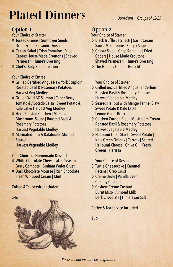# Plated Dinners

# Option 1

Your Choice of Starter

- ◊ Tossed Greens | Sunflower Seeds Dried Fruit | Balsamic Dressing
- ◊ Caesar Salad | Crisp Romaine | Fried Capers House Made Croutons | Shaved Parmesan Hume's Dressing
- ◊ Chef's Daily Soup Creation

## Your Choice of Entrée

- ◊ Grilled Certified Angus New York Striploin Roasted Basil & Rosemary Potatoes Harvest Veg Medley
- ◊ Grilled Wild BC Salmon | Caper Berry Tomato & Avocado Salsa | Sweet Potato & Kale Latke Harvest Veg Medley
- ◊ Herb Roasted Chicken | Marsala Mushroom Sauce | Roasted Basil & Rosemary Potatoes Harvest Vegetable Medley
- ◊ Marinated Tofu & Ratatouille Stuffed Squash Harvest Vegetable Medley

## Your Choice of Homemade Dessert

- ◊ White Chocolate Cheesecake | Seasonal Berry Compote | Graham Wafer Crust
- ◊ Dark Chocolate Mousse | Rich Chocolate Fresh Whipped Cream | Mint

## Coffee & Tea service included

# \$46

#### *3pm-9pm Groups of 12-25*

# Option 2

#### Your Choice of Starter

- ◊ Black Truffle Sacchetti | Garlic Cream Sauce Mushrooms | Crispy Sage
- ◊ Caesar Salad | Crisp Romaine | Fried Capers | House Made Croutons Shaved Parmesan | Hume's Dressing
- ◊ The Hume's Famous Borscht

Your Choice of Starter

- ◊ Grilled 6oz Certified Angus Tenderloin Roasted Basil & Rosemary Potatoes Harvest Vegetable Medley
- ◊ Seared Halibut with Mango Fennel Slaw Sweet Potato & Kale Latke Lemon Garlic Broccolini
- ◊ Chicken Cordon Bleu | Mushroom Cream Roasted Basil & Rosemary Potatoes Harvest Vegetable Medley
- ◊ Halloumi Latke Stack | Sweet Potato | Kale Green Onions | Carrots | Seared Halloumi Cheese | Chive Oil | Fresh Greens | Harissa

#### Your Choice of Dessert

- ◊ Turtle Cheesecake | Caramel Pecans | Oreo Crust
- ◊ Crème Brule | Vanilla Bean Creamy Custard
- ◊ Cashew Crème Custard Burnt Miso | Almond Milk Dark Chocolate | Himalayan Salt

## Coffee & Tea service included

\$56

*Prices do not include tax or gratuity.*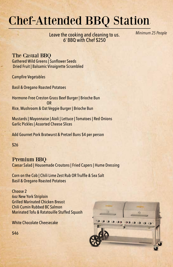# Chef-Attended BBQ Station

Leave the cooking and cleaning to us. 6' BBQ with Chef \$250

 *Minimum 25 People*

## The Casual BBQ

Gathered Wild Greens | Sunflower Seeds Dried Fruit | Balsamic Vinaigrette Scrambled

Campfire Vegetables

Basil & Oregano Roasted Potatoes

Hormone-Free Creston Grass Beef Burger | Brioche Bun **OR** Service Service Service Service Service Service Service Service Service Service Service Service Service Service Service Service Service Service Service Service Service Service Service Service Service Service Service S Rice, Mushroom & Oat Veggie Burger | Brioche Bun

Mustards | Mayonnaise | Aioli | Lettuce | Tomatoes | Red Onions Garlic Pickles | Assorted Cheese Slices

Add Gournet Pork Bratwurst & Pretzel Buns \$4 per person

\$26

Premium BBQ Caesar Salad | Housemade Croutons | Fried Capers | Hume Dressing

Corn on the Cob | Chili Lime Zest Rub OR Truffle & Sea Salt Basil & Oregano Roasted Potatoes

Choose 2 6oz New York Striploin Grilled Marinated Chicken Breast Chili Cumin Rubbed BC Salmon Marinated Tofu & Ratatouille Stuffed Squash

White Chocolate Cheesecake



\$46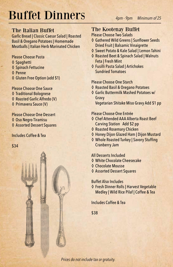# Buffet Dinners

# The Italian Buffet

Garlic Bread | Classic Caesar Salad | Roasted Basil & Oregano Potatoes | Homemade Meatballs | Italian Herb Marinated Chicken

Please Choose Pasta

- ◊ Spaghetti
- ◊ Spinach Fettucine
- ◊ Penne
- ◊ Gluten Free Option (add \$1)

Please Choose One Sauce

- ◊ Traditional Bolognese
- ◊ Roasted Garlic Alfredo (V)
- ◊ Primavera Sauce (V)

Please Choose One Dessert ◊ Oso Negro Tiramisu ◊ Assorted Dessert Squares

#### Includes Coffee & Tea

\$34



Please Choose Two Salads

- ◊ Gathered Wild Greens | Sunflower Seeds Dried Fruit | Balsamic Vinaigrette
- ◊ Sweet Potato & Kale Salad | Lemon Tahini
- ◊ Roasted Beet & Spinach Salad | Walnuts Feta | Fresh Mint
- ◊ Fusilli Pasta Salad | Artichokes Sundried Tomatoes

#### Please Choose One Starch

- ◊ Roasted Basil & Oregano Potatoes
- ◊ Garlic Buttermilk Mashed Potatoes w/ Gravy Vegetarian Shitake Miso Gravy Add \$1 pp

#### Please Choose One Entrée

- ◊ Chef Attended AAA Alberta Roast Beef Carving Station Add \$2 pp
- ◊ Roasted Rosemary Chicken
- ◊ Honey Dijon Glazed Ham | Dijon Mustard
- ◊ Whole Roasted Turkey | Savory Stuffing Cranberry Jam

#### All Desserts Included

- ◊ White Chocolate Cheesecake
- ◊ Chocolate Mousse
- ◊ Assorted Dessert Squares

#### Buffet Also Includes

◊ Fresh Dinner Rolls | Harvest Vegetable Medley | Wild Rice Pilaf | Coffee & Tea

Includes Coffee & Tea

\$38

*Prices do not include tax or gratuity.*

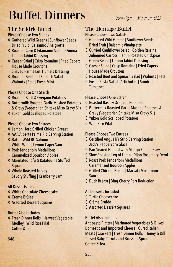# Buffet Dinners

# The Selkirk Buffet

Please Choose Two Salads

- ◊ Gathered Wild Greens | Sunflower Seeds Dried Fruit | Balsamic Vinaigrette
- ◊ Roasted Corn & Edamame Salad | Quinoa Lemon Tahini Dressing
- ◊ Caesar Salad | Crisp Romaine | Fried Capers House Made Croutons Shaved Parmesan Hume's Dressing
- ◊ Roasted Beet and Spinach Salad Walnuts | Feta | Fresh Mint

## Please Choose One Starch

- ◊ Roasted Basil & Oregano Potatoes
- ◊ Buttermilk Roasted Garlic Mashed Potatoes & Gravy (Vegetarian Shitake Miso Gravy \$1)
- ◊ Yukon Gold Scalloped Potatoes

## Please Choose Two Entrees

- ◊ Lemon Herb Grilled Chicken Breast
- ◊ AAA Alberta Prime Rib Carving Station
- ◊ Baked Wild BC Salmon White Wine | Lemon Caper Sauce
- ◊ Pork Tenderloin Medallions Caramelized Bourbon Apples
- ◊ Marinated Tofu & Ratatouille Stuffed Squash
- ◊ Whole Roasted Turkey Savory Stuffing | Cranberry Jam

## All Desserts Included

- ◊ White Chocolate Cheesecake
- ◊ Crème Brûlée
- ◊ Assorted Dessert Squares

## Buffet Also Includes

◊ Fresh Dinner Rolls | Harvest Vegetable Medley | Wild Rice Pilaf Coffee & Tea

# The Heritage Buffet

Please Choose Two Salads

- ◊ Gathered Wild Greens | Sunflower Seeds Dried Fruit | Balsamic Vinaigrette
- ◊ Curried Cauliflower Salad | Golden Raisins Julienned Carrots | Tahini Roasted Chickpeas Green Beans | Lemon Tahini Dressing
- ◊ Caesar Salad | Crisp Romaine | Fried Capers House Made Croutons
- ◊ Roasted Beet and Spinach Salad | Walnuts | Feta
- ◊ Fusilli Pasta Salad | Artichokes | Sundried Tomatoes

#### Please Choose One Starch

- ◊ Roasted Basil & Oregano Potatoes
- ◊ Buttermilk Roasted Garlic Mashed Potatoes & Gravy (Vegetarian Shitake Miso Gravy \$1)
- ◊ Yukon Gold Scalloped Potatoes
- ◊ Wild Rice Pilaf

#### Please Choose Two Entrees

- ◊ Certified Angus NY Strip Carving Station Jack's Peppercorn Glaze
- ◊ Pan-Seared Halibut with Mango Fennel Slaw
- ◊ Slow Roasted Leg of Lamb | Dijon Rosemary Demi
- ◊ Roast Pork Tenderloin Medallions Caramelized Bourbon Apples
- ◊ Grilled Chicken Breast | Marsala Mushroom Sauce
- ◊ Duck Breast | Bing Cherry Port Reduction

## All Desserts Included

- ◊ Turtle Cheesecake
- ◊ Crème Brûlée
- ◊ Assorted Dessert Squares

#### Buffet Also Includes

Antipasto Platter | Marinated Vegetables & Olives Domestic and Imported Cheese | Cured Italian Meats | Crackers | Fresh Dinner Rolls | Honey & Dill Tossed Baby Carrots and Brussels Sprouts Coffee & Tea

## \$48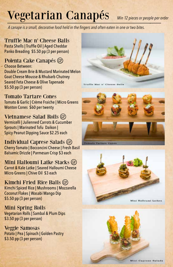# Vegetarian Canapés *Min 12 pieces or people per order*

*A canape is a small, decorative food held in the fingers and often eaten in one or two bites.*

Truffle Mac n' Cheese Balls Pasta Shells | Truffle Oil | Aged Cheddar Panko Breading \$5.50 pp (3 per person)

Polenta Cake Canapés Choose Between: Double Cream Brie & Mustard Marinated Melon

Goat Cheese Mousse & Rhubarb Chutney Seared Feta Cheese & Olive Tapenade \$5.50 pp (3 per person)

Tomato Tartare Cones Tomato & Garlic | Crème Fraiche | Micro Greens Wonton Cones \$60 per twenty

Vietnamese Salad Rolls Vermicelli | Julienned Carrots & Cucumber Sprouts | Marinated Tofu Daikon | Spicy Peanut Dipping Sauce \$2.25 each

Individual Caprese Salads Cherry Tomato | Bocconcini Cheese | Fresh Basil Balsamic Drizzle | Parmesan Crisp \$3 each

Mini Halloumi Latke Stacks Carrot & Kale Latke | Seared Halloumi Cheese Micro Greens | Chive Oil \$3 each

Kimchi Fried Rice Balls Kimchi Spiced Rice | Mushrooms | Mozzarella Coconut Flakes | Wasabi Mango Dip \$5.50 pp (3 per person)

Mini Spring Rolls Vegetarian Rolls | Sambal & Plum Dips \$3.50 pp (3 per person)

Veggie Samosas Potato | Pea | Spinach | Golden Pastry \$3.50 pp (3 per person)







**Mini Caprese Salada**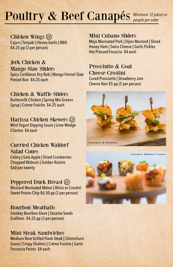# Poultry & Beef Canapés *Minimum 12 pieces or*

Chicken Wings Cajun | Teriyaki | Honey Garlic | BBQ \$4.25 pp (3 per person)

Jerk Chicken & Mango Slaw Sliders Spicy Caribbean Dry Rub | Mango Fennel Slaw Pretzel Bun \$4.25 each

Chicken & Waffle Sliders Buttermilk Chicken | Spring Mix Greens Syrup | Crème Fraîche \$4.25 each

Harissa Chicken Skewers Mint Yogurt Dipping Sauce | Lime Wedge Cilantro \$4 each

Curried Chicken Waldorf Salad Cones Celery | Gala Apple | Dried Cranberries Chopped Walnuts | Golden Raisins

\$60 per twenty

Peppered Duck Breast GF Mustard Marinated Melon | Blinis or Crostini Sweet Potato Chip \$6.50 pp (2 per person)

# Bourbon Meatballs

Smokey Bourbon Glaze | Sesame Seeds Scallions \$4.25 pp (3 per person)

# Mini Steak Sandwiches

Medium Rare Grilled Flank Steak | Chimichurri Sauce | Crispy Shallots | Crème Fraiche | Garlic Foccaccia Points \$4 each

Mini Cubano Sliders

Mojo Marinated Pork | Dijon Mustard | Sliced Honey Ham | Swiss Cheese | Garlic Pickles Hot Pressed Focaccia \$4 each

Prosciutto & Goat Cheese Crostini Cured Prosciutto | Strawberry Jam Chevre Noir \$5 pp (2 per person)



Chicken & Waffles

Chicken Waldorf Cones

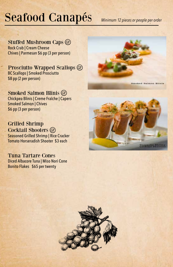# Seafood Canapés

*Minimum 12 pieces or people per order*

Stuffed Mushroom Caps Rock Crab | Cream Cheese Chives | Parmesan \$6 pp (3 per person)

Prosciutto Wrapped Scallops **G** BC Scallops | Smoked Prosciutto \$8 pp (2 per person)

Smoked Salmon Blinis GF Chickpea Blinis | Creme Fraîche | Capers Smoked Salmon | Chives \$6 pp (3 per person)

Grilled Shrimp Cocktail Shooters GF Seasoned Grilled Shrimp | Rice Cracker Tomato Horseradish Shooter \$3 each

Tuna Tartare Cones Diced Albacore Tuna | Miso Nori Cone Bonito Flakes \$65 per twenty







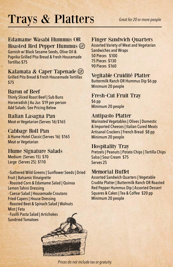# Trays & Platters *Great for 20 or more people*

# Edamame Wasabi Hummus OR

Roasted Red Pepper Hummus Garnish w/ Black Sesame Seeds, Olive Oil & Paprika Grilled Pita Bread & Fresh Housemade Tortillas \$75

#### Kalamata & Caper Tapenade Grilled Pita Bread & Fresh Housemade Tortillas

\$75

## Baron of Beef

Thinly Sliced Roast Beef | Sub Buns Horseradish | Au Jus \$19 per person Add Salads: See Pricing Below

Italian Lasagna Pan Meat or Vegetarian (Serves 16) \$165

#### Cabbage Roll Pan A Hume Hotel Classic (Serves 16) \$165 Meat or Vegetarian

#### Hume Signature Salads Medium (Serves 15) \$70 Large (Serves 25) \$110

- Gathered Wild Greens | Sunflower Seeds | Dried Fruit | Balsamic Vinaigrette - Roasted Corn & Edamame Salad | Quinoa Lemon Tahini Dressing - Caesar Salad | Housemade Croutons Fried Capers | House Dressing - Roasted Beet & Spinach Salad | Walnuts Mint | Feta - Fusilli Pasta Salad | Artichokes Sundried Tomatoes

# Finger Sandwich Quarters

Assorted Variety of Meat and Vegetarian Sandwiches and Wraps 50 Pieces \$100 75 Pieces \$130 90 Pieces \$160

# Vegitable Cruidité Platter

Buttermilk Ranch OR Hummus Dip \$6 pp Minimum 20 people

# Fresh-Cut Fruit Tray

\$6 pp Minimum 20 people

## Antipasto Platter

Marinated Vegetables | Olives | Domestic & Imported Cheeses | Italian Cured Meats Artisanal Crackers | French Bread \$8 pp Minimum 20 people

# Hospitality Tray

Pretzels | Peanuts | Potato Chips | Tortilla Chips Salsa | Sour Cream \$75 Serves 25

## Memorial Buffet

Assorted Sandwich Quarters | Vegetable Crudite Platter | Buttermilk Ranch OR Roasted Red Pepper Hummus Dip | Assorted Dessert Squares & Cakes | Tea & Coffee \$20 pp Minimum 20 people



*Prices do not include tax or gratuity.*